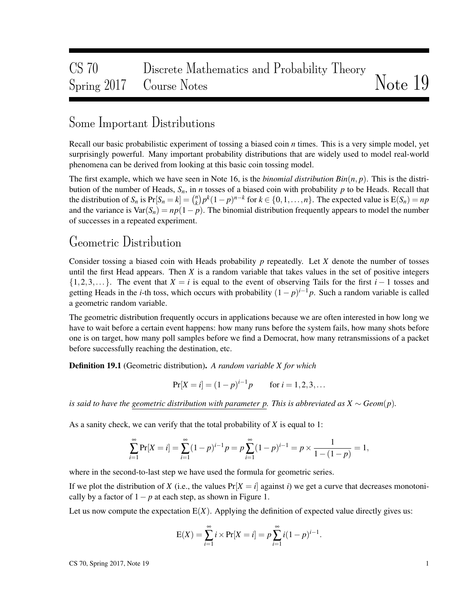# CS 70 Discrete Mathematics and Probability Theory Spring 2017 Course Notes Notes Note 19

## Some Important Distributions

Recall our basic probabilistic experiment of tossing a biased coin *n* times. This is a very simple model, yet surprisingly powerful. Many important probability distributions that are widely used to model real-world phenomena can be derived from looking at this basic coin tossing model.

The first example, which we have seen in Note 16, is the *binomial distribution Bin*(*n*, *p*). This is the distribution of the number of Heads,  $S_n$ , in *n* tosses of a biased coin with probability *p* to be Heads. Recall that the distribution of  $S_n$  is  $Pr[S_n = k] = \binom{n}{k}$  $\binom{n}{k} p^k (1-p)^{n-k}$  for  $k \in \{0, 1, \ldots, n\}$ . The expected value is  $E(S_n) = np$ and the variance is  $Var(S_n) = np(1-p)$ . The binomial distribution frequently appears to model the number of successes in a repeated experiment.

# Geometric Distribution

Consider tossing a biased coin with Heads probability *p* repeatedly. Let *X* denote the number of tosses until the first Head appears. Then  $X$  is a random variable that takes values in the set of positive integers {1,2,3,...}. The event that *X* = *i* is equal to the event of observing Tails for the first *i* − 1 tosses and getting Heads in the *i*-th toss, which occurs with probability  $(1-p)^{i-1}p$ . Such a random variable is called a geometric random variable.

The geometric distribution frequently occurs in applications because we are often interested in how long we have to wait before a certain event happens: how many runs before the system fails, how many shots before one is on target, how many poll samples before we find a Democrat, how many retransmissions of a packet before successfully reaching the destination, etc.

Definition 19.1 (Geometric distribution). *A random variable X for which*

$$
Pr[X = i] = (1 - p)^{i-1}p \quad \text{for } i = 1, 2, 3, ...
$$

*is said to have the geometric distribution with parameter p. This is abbreviated as*  $X \sim Geom(p)$ *.* 

As a sanity check, we can verify that the total probability of *X* is equal to 1:

$$
\sum_{i=1}^{\infty} \Pr[X = i] = \sum_{i=1}^{\infty} (1 - p)^{i-1} p = p \sum_{i=1}^{\infty} (1 - p)^{i-1} = p \times \frac{1}{1 - (1 - p)} = 1,
$$

where in the second-to-last step we have used the formula for geometric series.

If we plot the distribution of *X* (i.e., the values  $Pr[X = i]$  against *i*) we get a curve that decreases monotonically by a factor of  $1-p$  at each step, as shown in Figure 1.

Let us now compute the expectation  $E(X)$ . Applying the definition of expected value directly gives us:

$$
E(X) = \sum_{i=1}^{\infty} i \times Pr[X = i] = p \sum_{i=1}^{\infty} i(1-p)^{i-1}.
$$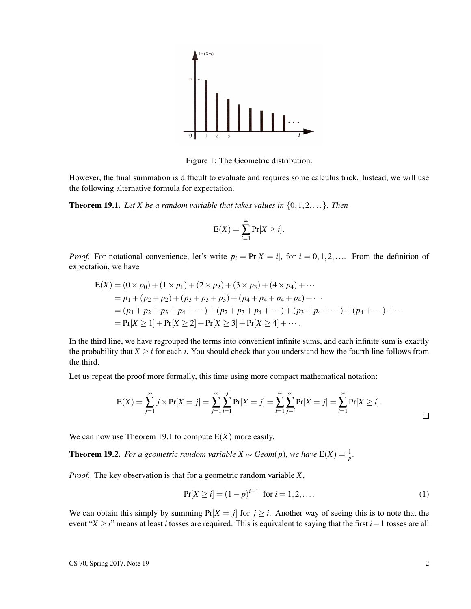

Figure 1: The Geometric distribution.

However, the final summation is difficult to evaluate and requires some calculus trick. Instead, we will use the following alternative formula for expectation.

**Theorem 19.1.** Let X be a random variable that takes values in  $\{0, 1, 2, \ldots\}$ . Then

$$
E(X) = \sum_{i=1}^{\infty} Pr[X \ge i].
$$

*Proof.* For notational convenience, let's write  $p_i = Pr[X = i]$ , for  $i = 0, 1, 2, \ldots$ . From the definition of expectation, we have

$$
E(X) = (0 \times p_0) + (1 \times p_1) + (2 \times p_2) + (3 \times p_3) + (4 \times p_4) + \cdots
$$
  
=  $p_1 + (p_2 + p_2) + (p_3 + p_3 + p_3) + (p_4 + p_4 + p_4) + \cdots$   
=  $(p_1 + p_2 + p_3 + p_4 + \cdots) + (p_2 + p_3 + p_4 + \cdots) + (p_3 + p_4 + \cdots) + (p_4 + \cdots) + \cdots$   
=  $Pr[X \ge 1] + Pr[X \ge 2] + Pr[X \ge 3] + Pr[X \ge 4] + \cdots$ 

In the third line, we have regrouped the terms into convenient infinite sums, and each infinite sum is exactly the probability that  $X \geq i$  for each *i*. You should check that you understand how the fourth line follows from the third.

Let us repeat the proof more formally, this time using more compact mathematical notation:

$$
E(X) = \sum_{j=1}^{\infty} j \times Pr[X = j] = \sum_{j=1}^{\infty} \sum_{i=1}^{j} Pr[X = j] = \sum_{i=1}^{\infty} \sum_{j=i}^{\infty} Pr[X = j] = \sum_{i=1}^{\infty} Pr[X \ge i].
$$

We can now use Theorem 19.1 to compute  $E(X)$  more easily.

**Theorem 19.2.** *For a geometric random variable X*  $\sim$  *Geom*(*p*)*, we have*  $E(X) = \frac{1}{p}$ *.* 

*Proof.* The key observation is that for a geometric random variable *X*,

$$
Pr[X \ge i] = (1 - p)^{i - 1} \text{ for } i = 1, 2, \dots
$$
 (1)

We can obtain this simply by summing  $Pr[X = j]$  for  $j \ge i$ . Another way of seeing this is to note that the event "*X* ≥ *i*" means at least *i* tosses are required. This is equivalent to saying that the first *i*−1 tosses are all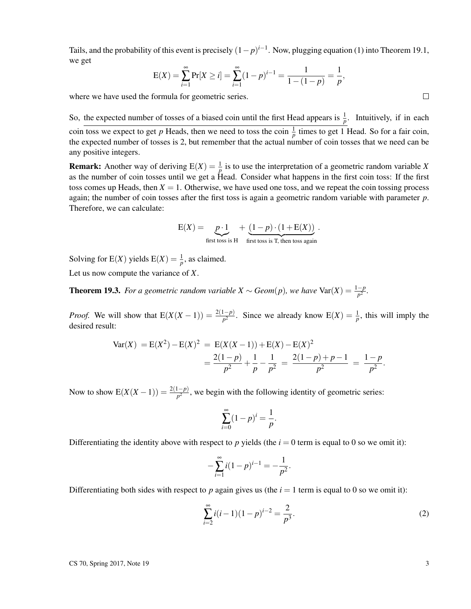Tails, and the probability of this event is precisely  $(1-p)^{i-1}$ . Now, plugging equation (1) into Theorem 19.1, we get

$$
E(X) = \sum_{i=1}^{\infty} Pr[X \ge i] = \sum_{i=1}^{\infty} (1-p)^{i-1} = \frac{1}{1 - (1-p)} = \frac{1}{p},
$$

where we have used the formula for geometric series.

So, the expected number of tosses of a biased coin until the first Head appears is  $\frac{1}{p}$ . Intuitively, if in each coin toss we expect to get *p* Heads, then we need to toss the coin  $\frac{1}{p}$  times to get 1 Head. So for a fair coin, the expected number of tosses is 2, but remember that the actual number of coin tosses that we need can be any positive integers.

**Remark:** Another way of deriving  $E(X) = \frac{1}{p}$  is to use the interpretation of a geometric random variable X as the number of coin tosses until we get a Head. Consider what happens in the first coin toss: If the first toss comes up Heads, then  $X = 1$ . Otherwise, we have used one toss, and we repeat the coin tossing process again; the number of coin tosses after the first toss is again a geometric random variable with parameter *p*. Therefore, we can calculate:

$$
E(X) = \underbrace{p \cdot 1}_{\text{first toss is H}} + \underbrace{(1-p) \cdot (1+E(X))}_{\text{first toss is T, then toss again}}.
$$

Solving for E(X) yields  $E(X) = \frac{1}{p}$ , as claimed.

Let us now compute the variance of *X*.

**Theorem 19.3.** *For a geometric random variable X*  $\sim$  *Geom*(*p*)*, we have*  $\text{Var}(X) = \frac{1-p}{p^2}$ *.* 

*Proof.* We will show that  $E(X(X-1)) = \frac{2(1-p)}{p^2}$ . Since we already know  $E(X) = \frac{1}{p}$ , this will imply the desired result:

$$
Var(X) = E(X2) - E(X)2 = E(X(X – 1)) + E(X) – E(X)2
$$
  
= 
$$
\frac{2(1-p)}{p^{2}} + \frac{1}{p} - \frac{1}{p^{2}} = \frac{2(1-p) + p - 1}{p^{2}} = \frac{1-p}{p^{2}}.
$$

Now to show  $E(X(X-1)) = \frac{2(1-p)}{p^2}$ , we begin with the following identity of geometric series:

$$
\sum_{i=0}^{\infty} (1-p)^i = \frac{1}{p}.
$$

Differentiating the identity above with respect to p yields (the  $i = 0$  term is equal to 0 so we omit it):

$$
-\sum_{i=1}^{\infty} i(1-p)^{i-1} = -\frac{1}{p^2}.
$$

Differentiating both sides with respect to p again gives us (the  $i = 1$  term is equal to 0 so we omit it):

$$
\sum_{i=2}^{\infty} i(i-1)(1-p)^{i-2} = \frac{2}{p^3}.
$$
 (2)

 $\Box$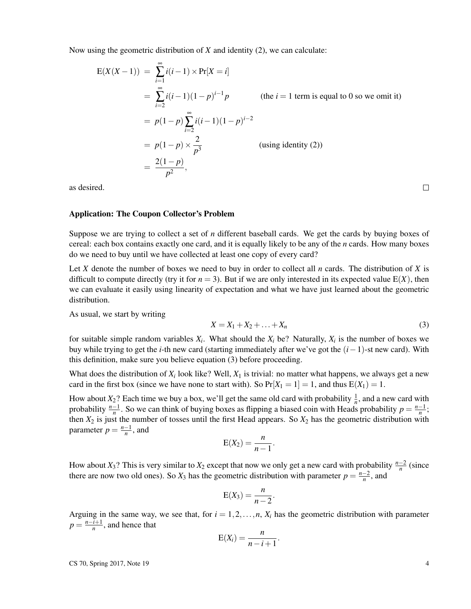Now using the geometric distribution of *X* and identity (2), we can calculate:

$$
E(X(X-1)) = \sum_{i=1}^{\infty} i(i-1) \times Pr[X = i]
$$
  
=  $\sum_{i=2}^{\infty} i(i-1)(1-p)^{i-1}p$  (the *i* = 1 term is equal to 0 so we omit it)  
=  $p(1-p) \sum_{i=2}^{\infty} i(i-1)(1-p)^{i-2}$   
=  $p(1-p) \times \frac{2}{p^3}$  (using identity (2))  
=  $\frac{2(1-p)}{p^2}$ ,

as desired.

#### Application: The Coupon Collector's Problem

Suppose we are trying to collect a set of *n* different baseball cards. We get the cards by buying boxes of cereal: each box contains exactly one card, and it is equally likely to be any of the *n* cards. How many boxes do we need to buy until we have collected at least one copy of every card?

Let *X* denote the number of boxes we need to buy in order to collect all *n* cards. The distribution of *X* is difficult to compute directly (try it for  $n = 3$ ). But if we are only interested in its expected value  $E(X)$ , then we can evaluate it easily using linearity of expectation and what we have just learned about the geometric distribution.

As usual, we start by writing

$$
X = X_1 + X_2 + \ldots + X_n \tag{3}
$$

for suitable simple random variables  $X_i$ . What should the  $X_i$  be? Naturally,  $X_i$  is the number of boxes we buy while trying to get the *i*-th new card (starting immediately after we've got the (*i*−1)-st new card). With this definition, make sure you believe equation (3) before proceeding.

What does the distribution of  $X_i$  look like? Well,  $X_1$  is trivial: no matter what happens, we always get a new card in the first box (since we have none to start with). So  $Pr[X_1 = 1] = 1$ , and thus  $E(X_1) = 1$ .

How about  $X_2$ ? Each time we buy a box, we'll get the same old card with probability  $\frac{1}{n}$ , and a new card with probability  $\frac{n-1}{n}$ . So we can think of buying boxes as flipping a biased coin with Heads probability  $p = \frac{n-1}{n}$ ; then  $X_2$  is just the number of tosses until the first Head appears. So  $X_2$  has the geometric distribution with parameter  $p = \frac{n-1}{n}$ , and

$$
E(X_2)=\frac{n}{n-1}.
$$

How about *X*<sub>3</sub>? This is very similar to *X*<sub>2</sub> except that now we only get a new card with probability  $\frac{n-2}{n}$  (since there are now two old ones). So  $X_3$  has the geometric distribution with parameter  $p = \frac{n-2}{n}$ , and

$$
E(X_3)=\frac{n}{n-2}.
$$

Arguing in the same way, we see that, for  $i = 1, 2, \ldots, n$ ,  $X_i$  has the geometric distribution with parameter  $p = \frac{n-i+1}{n}$ , and hence that

$$
E(X_i) = \frac{n}{n-i+1}.
$$

 $\text{CS } 70$ , Spring 2017, Note 19  $\overline{4}$ 

 $\Box$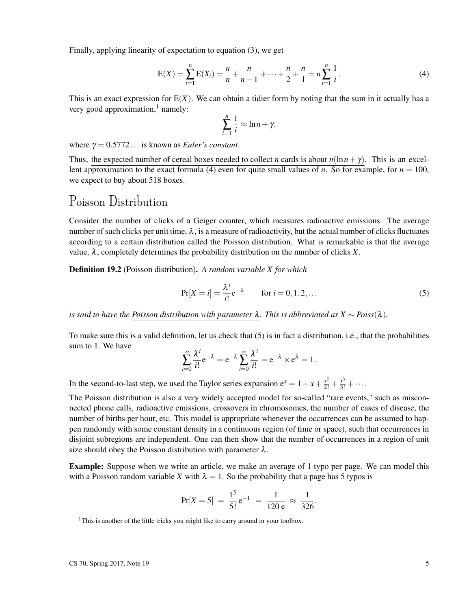Finally, applying linearity of expectation to equation (3), we get

$$
E(X) = \sum_{i=1}^{n} E(X_i) = \frac{n}{n} + \frac{n}{n-1} + \dots + \frac{n}{2} + \frac{n}{1} = n \sum_{i=1}^{n} \frac{1}{i}.
$$
 (4)

This is an exact expression for  $E(X)$ . We can obtain a tidier form by noting that the sum in it actually has a very good approximation, $<sup>1</sup>$  namely:</sup>

$$
\sum_{i=1}^n \frac{1}{i} \approx \ln n + \gamma,
$$

where  $\gamma = 0.5772...$  is known as *Euler's constant*.

Thus, the expected number of cereal boxes needed to collect *n* cards is about  $n(\ln n + \gamma)$ . This is an excellent approximation to the exact formula (4) even for quite small values of *n*. So for example, for  $n = 100$ , we expect to buy about 518 boxes.

### Poisson Distribution

Consider the number of clicks of a Geiger counter, which measures radioactive emissions. The average number of such clicks per unit time,  $\lambda$ , is a measure of radioactivity, but the actual number of clicks fluctuates according to a certain distribution called the Poisson distribution. What is remarkable is that the average value,  $\lambda$ , completely determines the probability distribution on the number of clicks *X*.

Definition 19.2 (Poisson distribution). *A random variable X for which*

$$
Pr[X = i] = \frac{\lambda^{i}}{i!} e^{-\lambda} \qquad \text{for } i = 0, 1, 2, \dots
$$
 (5)

*is said to have the Poisson distribution with parameter*  $\lambda$ *. This is abbreviated as*  $X \sim Pois(s(\lambda))$ .

To make sure this is a valid definition, let us check that (5) is in fact a distribution, i.e., that the probabilities sum to 1. We have

$$
\sum_{i=0}^{\infty} \frac{\lambda^i}{i!} e^{-\lambda} = e^{-\lambda} \sum_{i=0}^{\infty} \frac{\lambda^i}{i!} = e^{-\lambda} \times e^{\lambda} = 1.
$$

In the second-to-last step, we used the Taylor series expansion  $e^x = 1 + x + \frac{x^2}{2!} + \frac{x^3}{3!} + \cdots$ .

The Poisson distribution is also a very widely accepted model for so-called "rare events," such as misconnected phone calls, radioactive emissions, crossovers in chromosomes, the number of cases of disease, the number of births per hour, etc. This model is appropriate whenever the occurrences can be assumed to happen randomly with some constant density in a continuous region (of time or space), such that occurrences in disjoint subregions are independent. One can then show that the number of occurrences in a region of unit size should obey the Poisson distribution with parameter  $\lambda$ .

**Example:** Suppose when we write an article, we make an average of 1 typo per page. We can model this with a Poisson random variable X with  $\lambda = 1$ . So the probability that a page has 5 typos is

$$
Pr[X = 5] = \frac{1^5}{5!}e^{-1} = \frac{1}{120 e} \approx \frac{1}{326}.
$$

<sup>&</sup>lt;sup>1</sup>This is another of the little tricks you might like to carry around in your toolbox.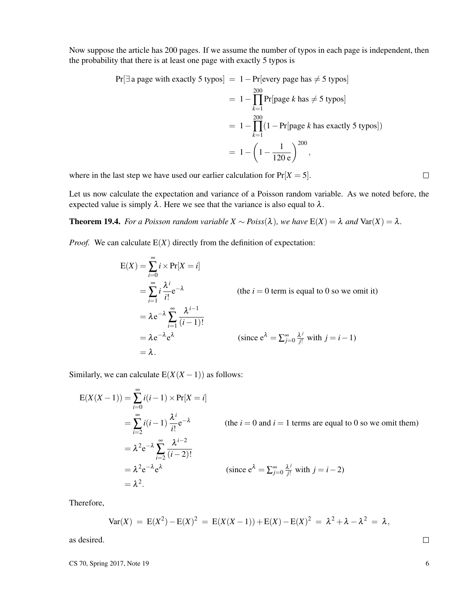Now suppose the article has 200 pages. If we assume the number of typos in each page is independent, then the probability that there is at least one page with exactly 5 typos is

$$
Pr[\exists a page with exactly 5 types] = 1 - Pr[every page has \neq 5 types]
$$
  
=  $1 - \prod_{k=1}^{200} Pr[page k has \neq 5 types]$   
=  $1 - \prod_{k=1}^{200} (1 - Pr[page k has exactly 5 types])$   
=  $1 - \left(1 - \frac{1}{120 e}\right)^{200}$ ,

where in the last step we have used our earlier calculation for  $Pr[X = 5]$ .

Let us now calculate the expectation and variance of a Poisson random variable. As we noted before, the expected value is simply  $\lambda$ . Here we see that the variance is also equal to  $\lambda$ .

**Theorem 19.4.** *For a Poisson random variable*  $X \sim Poiss(\lambda)$ *, we have*  $E(X) = \lambda$  *and*  $Var(X) = \lambda$ .

*Proof.* We can calculate  $E(X)$  directly from the definition of expectation:

$$
E(X) = \sum_{i=0}^{\infty} i \times Pr[X = i]
$$
  
=  $\sum_{i=1}^{\infty} i \frac{\lambda^{i}}{i!} e^{-\lambda}$  (the  $i = 0$  term is equal to 0 so we omit it)  
=  $\lambda e^{-\lambda} \sum_{i=1}^{\infty} \frac{\lambda^{i-1}}{(i-1)!}$   
=  $\lambda e^{-\lambda} e^{\lambda}$  (since  $e^{\lambda} = \sum_{j=0}^{\infty} \frac{\lambda^{j}}{j!}$  with  $j = i - 1$ )  
=  $\lambda$ .

Similarly, we can calculate  $E(X(X-1))$  as follows:

$$
E(X(X-1)) = \sum_{i=0}^{\infty} i(i-1) \times Pr[X=i]
$$
  
=  $\sum_{i=2}^{\infty} i(i-1) \frac{\lambda^{i}}{i!} e^{-\lambda}$  (the  $i = 0$  and  $i = 1$  terms are equal to 0 so we omit them)  
=  $\lambda^{2} e^{-\lambda} \sum_{i=2}^{\infty} \frac{\lambda^{i-2}}{(i-2)!}$   
=  $\lambda^{2} e^{-\lambda} e^{\lambda}$  (since  $e^{\lambda} = \sum_{j=0}^{\infty} \frac{\lambda^{j}}{j!}$  with  $j = i - 2$ )  
=  $\lambda^{2}$ .

Therefore,

$$
Var(X) = E(X2) - E(X)2 = E(X(X – 1)) + E(X) – E(X)2 = \lambda2 + \lambda - \lambda2 = \lambda,
$$

as desired.

 $\text{CS } 70$ , Spring 2017, Note 19 6

 $\Box$ 

 $\Box$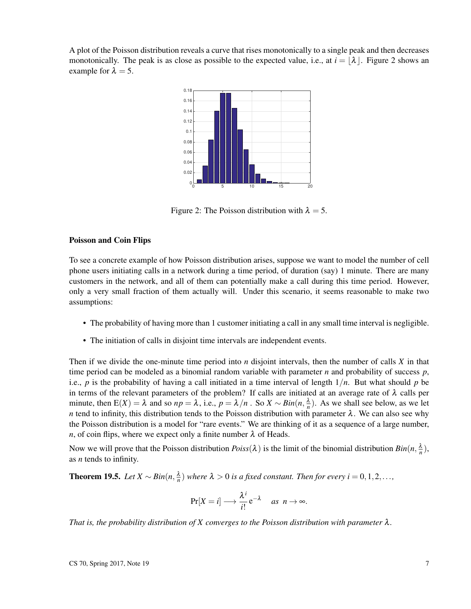A plot of the Poisson distribution reveals a curve that rises monotonically to a single peak and then decreases monotonically. The peak is as close as possible to the expected value, i.e., at  $i = |\lambda|$ . Figure 2 shows an example for  $\lambda = 5$ .



Figure 2: The Poisson distribution with  $\lambda = 5$ .

#### Poisson and Coin Flips

To see a concrete example of how Poisson distribution arises, suppose we want to model the number of cell phone users initiating calls in a network during a time period, of duration (say) 1 minute. There are many customers in the network, and all of them can potentially make a call during this time period. However, only a very small fraction of them actually will. Under this scenario, it seems reasonable to make two assumptions:

- The probability of having more than 1 customer initiating a call in any small time interval is negligible.
- The initiation of calls in disjoint time intervals are independent events.

Then if we divide the one-minute time period into *n* disjoint intervals, then the number of calls *X* in that time period can be modeled as a binomial random variable with parameter *n* and probability of success *p*, i.e., *p* is the probability of having a call initiated in a time interval of length 1/*n*. But what should *p* be in terms of the relevant parameters of the problem? If calls are initiated at an average rate of  $\lambda$  calls per minute, then  $E(X) = \lambda$  and so  $np = \lambda$ , i.e.,  $p = \lambda/n$ . So  $X \sim Bin(n, \frac{\lambda}{n})$ . As we shall see below, as we let *n* tend to infinity, this distribution tends to the Poisson distribution with parameter  $\lambda$ . We can also see why the Poisson distribution is a model for "rare events." We are thinking of it as a sequence of a large number, *n*, of coin flips, where we expect only a finite number  $\lambda$  of Heads.

Now we will prove that the Poisson distribution  $Poiss(\lambda)$  is the limit of the binomial distribution  $Bin(n, \frac{\lambda}{n})$ , as *n* tends to infinity.

**Theorem 19.5.** *Let*  $X \sim Bin(n, \frac{\lambda}{n})$  *where*  $\lambda > 0$  *is a fixed constant. Then for every*  $i = 0, 1, 2, \ldots$ ,

$$
\Pr[X=i] \longrightarrow \frac{\lambda^i}{i!} e^{-\lambda} \quad \text{as } n \to \infty.
$$

*That is, the probability distribution of X converges to the Poisson distribution with parameter* λ*.*